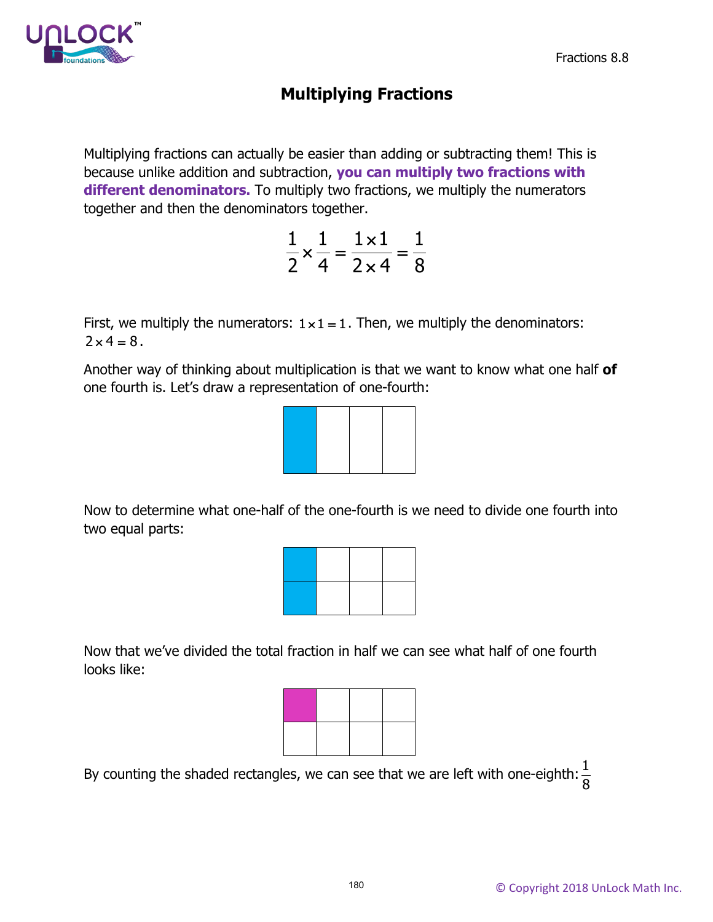

# **Multiplying Fractions**

Multiplying fractions can actually be easier than adding or subtracting them! This is because unlike addition and subtraction, **you can multiply two fractions with different denominators.** To multiply two fractions, we multiply the numerators together and then the denominators together.

|                  | $1 \times 1$<br>$\equiv$ |   |
|------------------|--------------------------|---|
| $\overline{2}$ . | 4 2 $\times$ 4           | 8 |

First, we multiply the numerators:  $1 \times 1 = 1$ . Then, we multiply the denominators:  $2 \times 4 = 8$ .

Another way of thinking about multiplication is that we want to know what one half **of** one fourth is. Let's draw a representation of one-fourth:



Now to determine what one-half of the one-fourth is we need to divide one fourth into two equal parts:



Now that we've divided the total fraction in half we can see what half of one fourth looks like:



By counting the shaded rectangles, we can see that we are left with one-eighth:  $\frac{1}{2}$ 8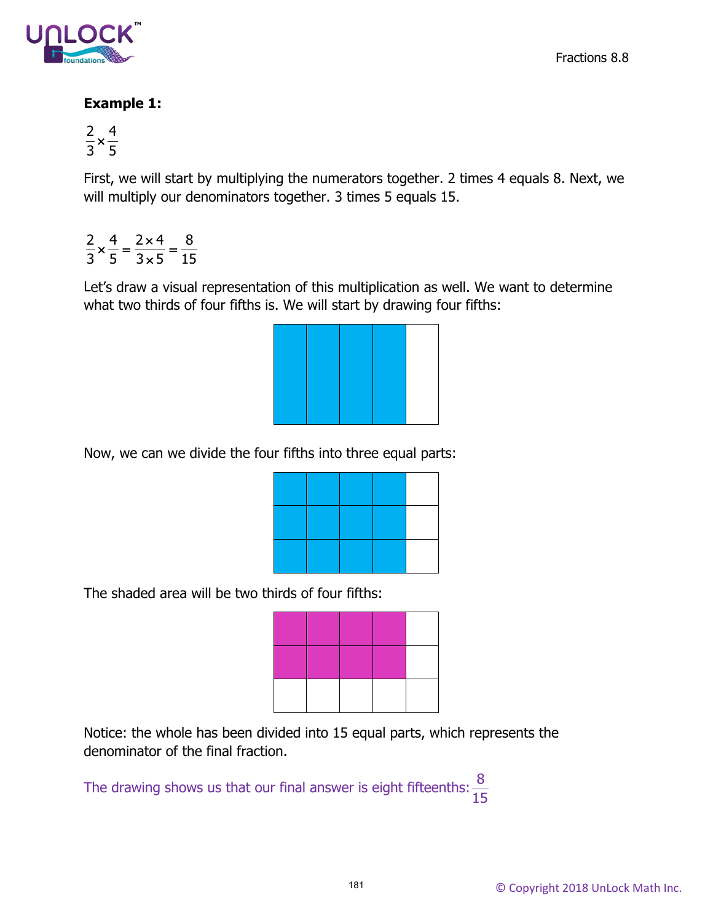

#### **Example 1:**

$$
\frac{2}{3} \times \frac{4}{5}
$$

First, we will start by multiplying the numerators together. 2 times 4 equals 8. Next, we will multiply our denominators together. 3 times 5 equals 15.

 $2^{4}$  2×4 8  $3 \times 5$  15  $x = \frac{4}{2} = \frac{2 \times 4}{2 \times 5} =$ ×

Let's draw a visual representation of this multiplication as well. We want to determine what two thirds of four fifths is. We will start by drawing four fifths:



Now, we can we divide the four fifths into three equal parts:

The shaded area will be two thirds of four fifths:



Notice: the whole has been divided into 15 equal parts, which represents the denominator of the final fraction.

The drawing shows us that our final answer is eight fifteenths:  $\frac{8}{15}$ 15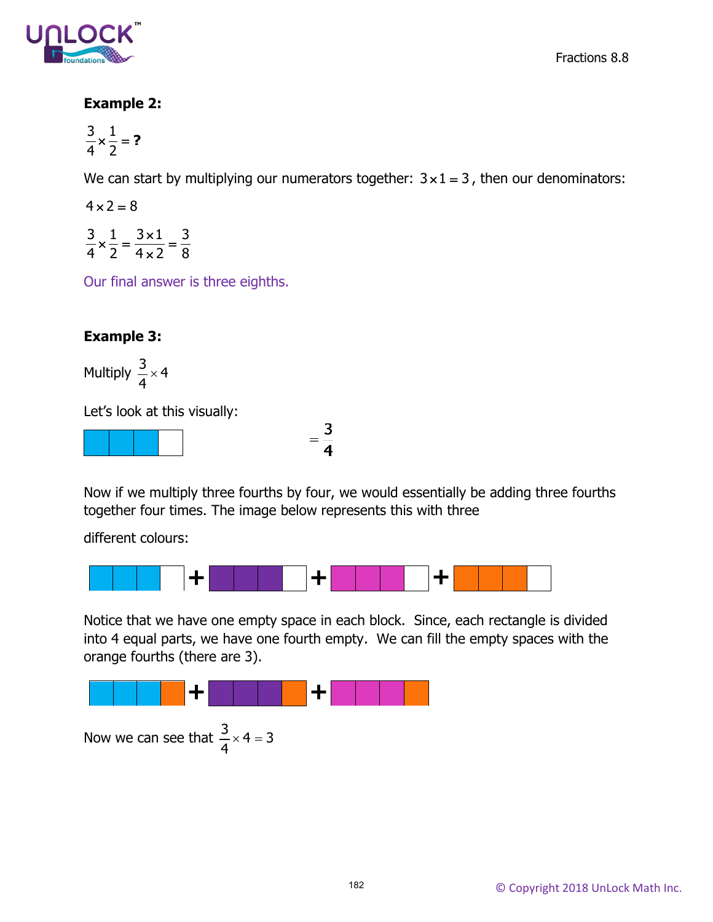

#### **Example 2:**

$$
\frac{3}{4} \times \frac{1}{2} = ?
$$

We can start by multiplying our numerators together:  $3 \times 1 = 3$ , then our denominators:

 $4 \times 2 = 8$ 

 $3\degree1$   $3\times1$   $3$ 42 42 8  $x=\frac{3\times1}{1}$ ×

Our final answer is three eighths.

## **Example 3:**

Multiply  $\frac{3}{4} \times 4$ 4 ×

Let's look at this visually:



 $=\frac{3}{4}$ 

Now if we multiply three fourths by four, we would essentially be adding three fourths together four times. The image below represents this with three

different colours:



Notice that we have one empty space in each block. Since, each rectangle is divided into 4 equal parts, we have one fourth empty. We can fill the empty spaces with the orange fourths (there are 3).



Now we can see that  $\frac{3}{4} \times 4 = 3$ 4  $\times$  4 =